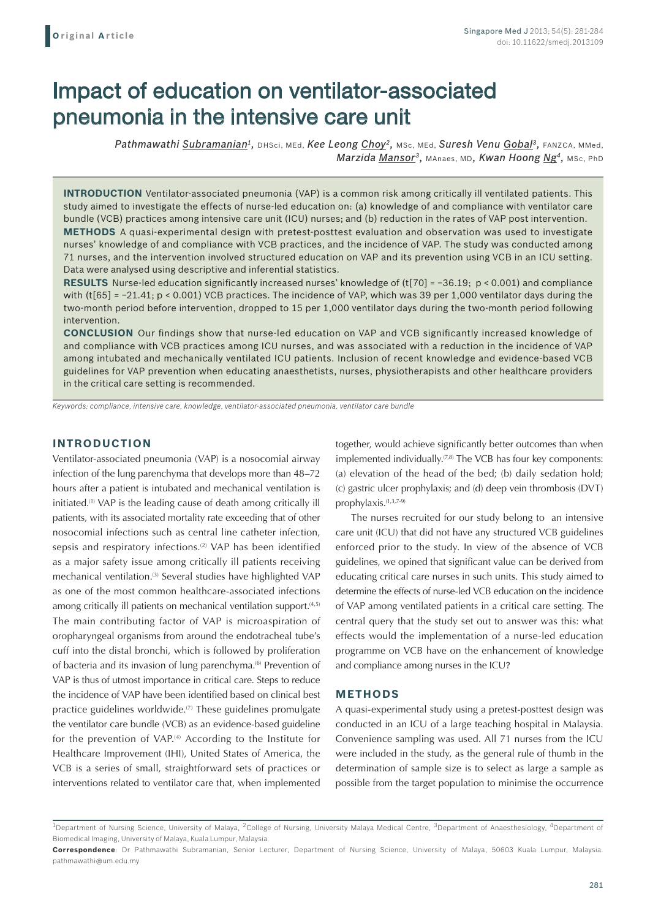# Impact of education on ventilator-associated pneumonia in the intensive care unit

*Pathmawathi Subramanian1,* DHSci, MEd, *Kee Leong Choy2,* MSc, MEd, *Suresh Venu Gobal3,* FANZCA, MMed, *Marzida Mansor3,* MAnaes, MD*, Kwan Hoong Ng4,* MSc, PhD

**INTRODUCTION** Ventilator-associated pneumonia (VAP) is a common risk among critically ill ventilated patients. This study aimed to investigate the effects of nurse-led education on: (a) knowledge of and compliance with ventilator care bundle (VCB) practices among intensive care unit (ICU) nurses; and (b) reduction in the rates of VAP post intervention. **METHODS** A quasi-experimental design with pretest-posttest evaluation and observation was used to investigate nurses' knowledge of and compliance with VCB practices, and the incidence of VAP. The study was conducted among 71 nurses, and the intervention involved structured education on VAP and its prevention using VCB in an ICU setting. Data were analysed using descriptive and inferential statistics.

**RESULTS** Nurse-led education significantly increased nurses' knowledge of (t[70] = −36.19; p < 0.001) and compliance with (t[65] = −21.41; p < 0.001) VCB practices. The incidence of VAP, which was 39 per 1,000 ventilator days during the two-month period before intervention, dropped to 15 per 1,000 ventilator days during the two-month period following intervention.

**CONCLUSION** Our findings show that nurse-led education on VAP and VCB significantly increased knowledge of and compliance with VCB practices among ICU nurses, and was associated with a reduction in the incidence of VAP among intubated and mechanically ventilated ICU patients. Inclusion of recent knowledge and evidence-based VCB guidelines for VAP prevention when educating anaesthetists, nurses, physiotherapists and other healthcare providers in the critical care setting is recommended.

*Keywords: compliance, intensive care, knowledge, ventilator-associated pneumonia, ventilator care bundle*

## **INTRODUCTION**

Ventilator-associated pneumonia (VAP) is a nosocomial airway infection of the lung parenchyma that develops more than 48–72 hours after a patient is intubated and mechanical ventilation is initiated.(1) VAP is the leading cause of death among critically ill patients, with its associated mortality rate exceeding that of other nosocomial infections such as central line catheter infection, sepsis and respiratory infections.<sup>(2)</sup> VAP has been identified as a major safety issue among critically ill patients receiving mechanical ventilation.<sup>(3)</sup> Several studies have highlighted VAP as one of the most common healthcare-associated infections among critically ill patients on mechanical ventilation support.<sup>(4,5)</sup> The main contributing factor of VAP is microaspiration of oropharyngeal organisms from around the endotracheal tube's cuff into the distal bronchi, which is followed by proliferation of bacteria and its invasion of lung parenchyma.<sup>(6)</sup> Prevention of VAP is thus of utmost importance in critical care. Steps to reduce the incidence of VAP have been identified based on clinical best practice guidelines worldwide.<sup>(7)</sup> These guidelines promulgate the ventilator care bundle (VCB) as an evidence-based guideline for the prevention of VAP.<sup>(4)</sup> According to the Institute for Healthcare Improvement (IHI), United States of America, the VCB is a series of small, straightforward sets of practices or interventions related to ventilator care that, when implemented

together, would achieve significantly better outcomes than when implemented individually.<sup> $(7,8)$ </sup> The VCB has four key components: (a) elevation of the head of the bed; (b) daily sedation hold; (c) gastric ulcer prophylaxis; and (d) deep vein thrombosis (DVT) prophylaxis.(1,3,7-9)

The nurses recruited for our study belong to an intensive care unit (ICU) that did not have any structured VCB guidelines enforced prior to the study. In view of the absence of VCB guidelines, we opined that significant value can be derived from educating critical care nurses in such units. This study aimed to determine the effects of nurse-led VCB education on the incidence of VAP among ventilated patients in a critical care setting. The central query that the study set out to answer was this: what effects would the implementation of a nurse-led education programme on VCB have on the enhancement of knowledge and compliance among nurses in the ICU?

#### **METHODS**

A quasi-experimental study using a pretest-posttest design was conducted in an ICU of a large teaching hospital in Malaysia. Convenience sampling was used. All 71 nurses from the ICU were included in the study, as the general rule of thumb in the determination of sample size is to select as large a sample as possible from the target population to minimise the occurrence

<sup>&</sup>lt;sup>1</sup>Department of Nursing Science, University of Malaya, <sup>2</sup>College of Nursing, University Malaya Medical Centre, <sup>3</sup>Department of Anaesthesiology, <sup>4</sup>Department of Biomedical Imaging, University of Malaya, Kuala Lumpur, Malaysia

**Correspondence**: Dr Pathmawathi Subramanian, Senior Lecturer, Department of Nursing Science, University of Malaya, 50603 Kuala Lumpur, Malaysia. pathmawathi@um.edu.my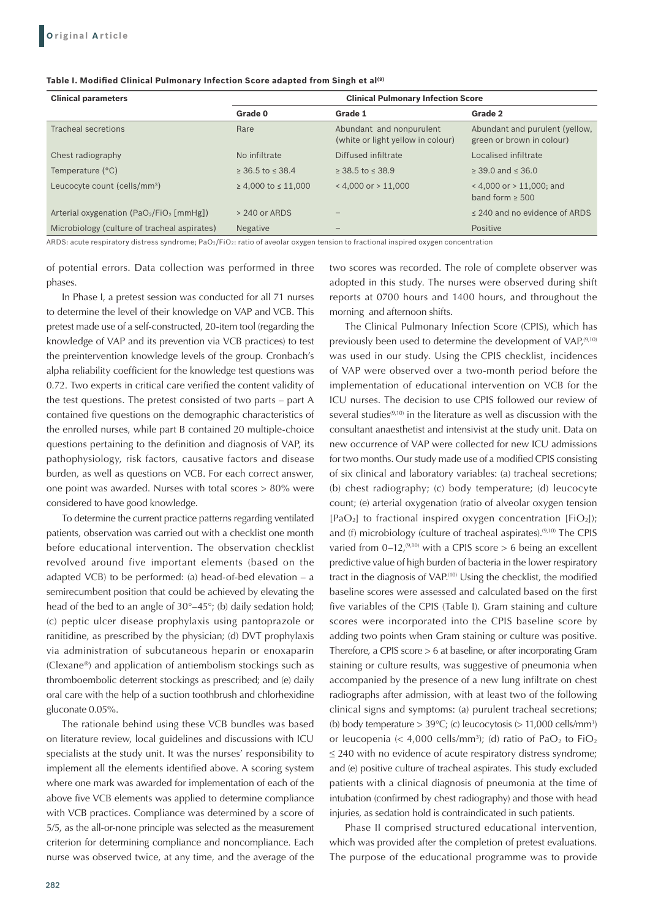| Table I. Modified Clinical Pulmonary Infection Score adapted from Singh et al <sup>(9)</sup> |
|----------------------------------------------------------------------------------------------|
|----------------------------------------------------------------------------------------------|

| <b>Clinical parameters</b>                   | <b>Clinical Pulmonary Infection Score</b> |                                                               |                                                             |
|----------------------------------------------|-------------------------------------------|---------------------------------------------------------------|-------------------------------------------------------------|
|                                              | Grade 0                                   | Grade 1                                                       | Grade 2                                                     |
| Tracheal secretions                          | Rare                                      | Abundant and nonpurulent<br>(white or light yellow in colour) | Abundant and purulent (yellow,<br>green or brown in colour) |
| Chest radiography                            | No infiltrate                             | Diffused infiltrate                                           | Localised infiltrate                                        |
| Temperature (°C)                             | $\geq 36.5$ to $\leq 38.4$                | $>$ 38.5 to $<$ 38.9                                          | $\geq$ 39.0 and $\leq$ 36.0                                 |
| Leucocyte count (cells/mm <sup>3</sup> )     | $\geq 4.000$ to $\leq 11.000$             | $< 4.000$ or $> 11.000$                                       | $<$ 4,000 or $>$ 11,000; and<br>band form $\geq 500$        |
| Arterial oxygenation $(PaO_2/FiO_2$ [mmHg])  | $> 240$ or ARDS                           |                                                               | < 240 and no evidence of ARDS                               |
| Microbiology (culture of tracheal aspirates) | <b>Negative</b>                           |                                                               | Positive                                                    |

ARDS: acute respiratory distress syndrome; PaO<sub>2</sub>/FiO<sub>2</sub>: ratio of aveolar oxygen tension to fractional inspired oxygen concentration

of potential errors. Data collection was performed in three phases.

In Phase I, a pretest session was conducted for all 71 nurses to determine the level of their knowledge on VAP and VCB. This pretest made use of a self-constructed, 20-item tool (regarding the knowledge of VAP and its prevention via VCB practices) to test the preintervention knowledge levels of the group. Cronbach's alpha reliability coefficient for the knowledge test questions was 0.72. Two experts in critical care verified the content validity of the test questions. The pretest consisted of two parts – part A contained five questions on the demographic characteristics of the enrolled nurses, while part B contained 20 multiple-choice questions pertaining to the definition and diagnosis of VAP, its pathophysiology, risk factors, causative factors and disease burden, as well as questions on VCB. For each correct answer, one point was awarded. Nurses with total scores > 80% were considered to have good knowledge.

To determine the current practice patterns regarding ventilated patients, observation was carried out with a checklist one month before educational intervention. The observation checklist revolved around five important elements (based on the adapted VCB) to be performed: (a) head-of-bed elevation – a semirecumbent position that could be achieved by elevating the head of the bed to an angle of 30°–45°; (b) daily sedation hold; (c) peptic ulcer disease prophylaxis using pantoprazole or ranitidine, as prescribed by the physician; (d) DVT prophylaxis via administration of subcutaneous heparin or enoxaparin (Clexane®) and application of antiembolism stockings such as thromboembolic deterrent stockings as prescribed; and (e) daily oral care with the help of a suction toothbrush and chlorhexidine gluconate 0.05%.

The rationale behind using these VCB bundles was based on literature review, local guidelines and discussions with ICU specialists at the study unit. It was the nurses' responsibility to implement all the elements identified above. A scoring system where one mark was awarded for implementation of each of the above five VCB elements was applied to determine compliance with VCB practices. Compliance was determined by a score of 5/5, as the all-or-none principle was selected as the measurement criterion for determining compliance and noncompliance. Each nurse was observed twice, at any time, and the average of the

two scores was recorded. The role of complete observer was adopted in this study. The nurses were observed during shift reports at 0700 hours and 1400 hours, and throughout the morning and afternoon shifts.

The Clinical Pulmonary Infection Score (CPIS), which has previously been used to determine the development of VAP,<sup>(9,10)</sup> was used in our study. Using the CPIS checklist, incidences of VAP were observed over a two-month period before the implementation of educational intervention on VCB for the ICU nurses. The decision to use CPIS followed our review of several studies $(9,10)$  in the literature as well as discussion with the consultant anaesthetist and intensivist at the study unit. Data on new occurrence of VAP were collected for new ICU admissions for two months. Our study made use of a modified CPIS consisting of six clinical and laboratory variables: (a) tracheal secretions; (b) chest radiography; (c) body temperature; (d) leucocyte count; (e) arterial oxygenation (ratio of alveolar oxygen tension  $[PaO<sub>2</sub>]$  to fractional inspired oxygen concentration  $[FIO<sub>2</sub>]$ ); and (f) microbiology (culture of tracheal aspirates).<sup>(9,10)</sup> The CPIS varied from  $0-12$ ,<sup> $(9,10)$ </sup> with a CPIS score  $> 6$  being an excellent predictive value of high burden of bacteria in the lower respiratory tract in the diagnosis of VAP.<sup>(10)</sup> Using the checklist, the modified baseline scores were assessed and calculated based on the first five variables of the CPIS (Table I). Gram staining and culture scores were incorporated into the CPIS baseline score by adding two points when Gram staining or culture was positive. Therefore, a CPIS score > 6 at baseline, or after incorporating Gram staining or culture results, was suggestive of pneumonia when accompanied by the presence of a new lung infiltrate on chest radiographs after admission, with at least two of the following clinical signs and symptoms: (a) purulent tracheal secretions; (b) body temperature  $>$  39 $\degree$ C; (c) leucocytosis ( $>$  11,000 cells/mm<sup>3</sup>) or leucopenia (< 4,000 cells/mm<sup>3</sup>); (d) ratio of PaO<sub>2</sub> to FiO<sub>2</sub> ≤ 240 with no evidence of acute respiratory distress syndrome; and (e) positive culture of tracheal aspirates. This study excluded patients with a clinical diagnosis of pneumonia at the time of intubation (confirmed by chest radiography) and those with head injuries, as sedation hold is contraindicated in such patients.

Phase II comprised structured educational intervention, which was provided after the completion of pretest evaluations. The purpose of the educational programme was to provide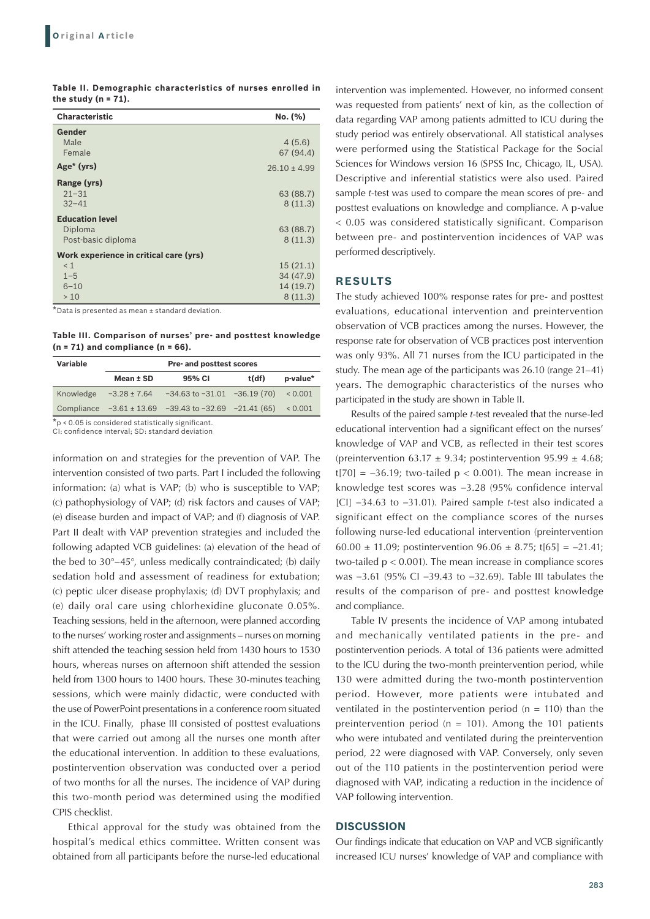| Table II. Demographic characteristics of nurses enrolled in |  |  |  |
|-------------------------------------------------------------|--|--|--|
| the study $(n = 71)$ .                                      |  |  |  |

| <b>Characteristic</b>                  | No. (%)          |
|----------------------------------------|------------------|
| Gender                                 |                  |
| Male                                   | 4(5.6)           |
| Female                                 | 67 (94.4)        |
| Age <sup>*</sup> (yrs)                 | $26.10 \pm 4.99$ |
| Range (yrs)                            |                  |
| $21 - 31$                              | 63 (88.7)        |
| $32 - 41$                              | 8(11.3)          |
| <b>Education level</b>                 |                  |
| Diploma                                | 63 (88.7)        |
| Post-basic diploma                     | 8(11.3)          |
| Work experience in critical care (yrs) |                  |
| < 1                                    | 15(21.1)         |
| $1 - 5$                                | 34 (47.9)        |
| $6 - 10$                               | 14 (19.7)        |
| >10<br>$*$ $ +$                        | 8(11.3)          |

 $^\prime$ Data is presented as mean  $\pm$  standard deviation.

**Table III. Comparison of nurses' pre- and posttest knowledge (n = 71) and compliance (n = 66).**

| <b>Variable</b>                                       | Pre- and posttest scores |                                                                 |       |          |
|-------------------------------------------------------|--------------------------|-----------------------------------------------------------------|-------|----------|
|                                                       | Mean ± SD                | 95% CI                                                          | t(df) | p-value* |
| Knowledge                                             |                          | $-3.28 \pm 7.64$ $-34.63$ to $-31.01$ $-36.19$ (70)             |       | 0.001    |
|                                                       |                          | Compliance $-3.61 \pm 13.69$ $-39.43$ to $-32.69$ $-21.41$ (65) |       | 0.001    |
| $*_p$ < 0.05 is considered statistically significant. |                          |                                                                 |       |          |

CI: confidence interval; SD: standard deviation

information on and strategies for the prevention of VAP. The intervention consisted of two parts. Part I included the following information: (a) what is VAP; (b) who is susceptible to VAP; (c) pathophysiology of VAP; (d) risk factors and causes of VAP; (e) disease burden and impact of VAP; and (f) diagnosis of VAP. Part II dealt with VAP prevention strategies and included the following adapted VCB guidelines: (a) elevation of the head of the bed to 30°–45°, unless medically contraindicated; (b) daily sedation hold and assessment of readiness for extubation; (c) peptic ulcer disease prophylaxis; (d) DVT prophylaxis; and (e) daily oral care using chlorhexidine gluconate 0.05%. Teaching sessions, held in the afternoon, were planned according to the nurses' working roster and assignments – nurses on morning shift attended the teaching session held from 1430 hours to 1530 hours, whereas nurses on afternoon shift attended the session held from 1300 hours to 1400 hours. These 30-minutes teaching sessions, which were mainly didactic, were conducted with the use of PowerPoint presentations in a conference room situated in the ICU. Finally, phase III consisted of posttest evaluations that were carried out among all the nurses one month after the educational intervention. In addition to these evaluations, postintervention observation was conducted over a period of two months for all the nurses. The incidence of VAP during this two-month period was determined using the modified CPIS checklist.

Ethical approval for the study was obtained from the hospital's medical ethics committee. Written consent was obtained from all participants before the nurse-led educational

intervention was implemented. However, no informed consent was requested from patients' next of kin, as the collection of data regarding VAP among patients admitted to ICU during the study period was entirely observational. All statistical analyses were performed using the Statistical Package for the Social Sciences for Windows version 16 (SPSS Inc, Chicago, IL, USA). Descriptive and inferential statistics were also used. Paired sample *t*-test was used to compare the mean scores of pre- and posttest evaluations on knowledge and compliance. A p-value < 0.05 was considered statistically significant. Comparison between pre- and postintervention incidences of VAP was performed descriptively.

## **RESULTS**

The study achieved 100% response rates for pre- and posttest evaluations, educational intervention and preintervention observation of VCB practices among the nurses. However, the response rate for observation of VCB practices post intervention was only 93%. All 71 nurses from the ICU participated in the study. The mean age of the participants was 26.10 (range 21–41) years. The demographic characteristics of the nurses who participated in the study are shown in Table II.

Results of the paired sample *t*-test revealed that the nurse-led educational intervention had a significant effect on the nurses' knowledge of VAP and VCB, as reflected in their test scores (preintervention 63.17  $\pm$  9.34; postintervention 95.99  $\pm$  4.68; t[70] =  $-36.19$ ; two-tailed p < 0.001). The mean increase in knowledge test scores was −3.28 (95% confidence interval [CI] −34.63 to −31.01). Paired sample *t*-test also indicated a significant effect on the compliance scores of the nurses following nurse-led educational intervention (preintervention 60.00 ± 11.09; postintervention 96.06 ± 8.75; t[65] = −21.41; two-tailed  $p < 0.001$ ). The mean increase in compliance scores was −3.61 (95% CI −39.43 to −32.69). Table III tabulates the results of the comparison of pre- and posttest knowledge and compliance.

Table IV presents the incidence of VAP among intubated and mechanically ventilated patients in the pre- and postintervention periods. A total of 136 patients were admitted to the ICU during the two-month preintervention period, while 130 were admitted during the two-month postintervention period. However, more patients were intubated and ventilated in the postintervention period ( $n = 110$ ) than the preintervention period ( $n = 101$ ). Among the 101 patients who were intubated and ventilated during the preintervention period, 22 were diagnosed with VAP. Conversely, only seven out of the 110 patients in the postintervention period were diagnosed with VAP, indicating a reduction in the incidence of VAP following intervention.

#### **DISCUSSION**

Our findings indicate that education on VAP and VCB significantly increased ICU nurses' knowledge of VAP and compliance with